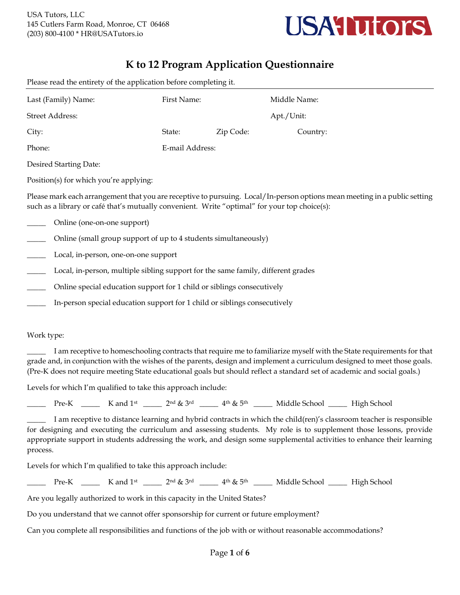

## **K to 12 Program Application Questionnaire**

| -1-1                                                       |                 | $\circ$   |              |
|------------------------------------------------------------|-----------------|-----------|--------------|
| Last (Family) Name:                                        | First Name:     |           | Middle Name: |
| Street Address:                                            |                 |           | Apt./Unit:   |
| City:                                                      | State:          | Zip Code: | Country:     |
| Phone:                                                     | E-mail Address: |           |              |
| $D_{\text{max}}$ and $D_{\text{max}}$ and $D_{\text{max}}$ |                 |           |              |

Please read the entirety of the application before completing it.

Desired Starting Date:

Position(s) for which you're applying:

Please mark each arrangement that you are receptive to pursuing. Local/In-person options mean meeting in a public setting such as a library or café that's mutually convenient. Write "optimal" for your top choice(s):

- Online (one-on-one support)
- Online (small group support of up to 4 students simultaneously)
- Local, in-person, one-on-one support
- Local, in-person, multiple sibling support for the same family, different grades
- \_\_\_\_\_ Online special education support for 1 child or siblings consecutively
- In-person special education support for 1 child or siblings consecutively

#### Work type:

\_\_\_\_\_ I am receptive to homeschooling contracts that require me to familiarize myself with the State requirements for that grade and, in conjunction with the wishes of the parents, design and implement a curriculum designed to meet those goals. (Pre-K does not require meeting State educational goals but should reflect a standard set of academic and social goals.)

Levels for which I'm qualified to take this approach include:

 $\Box$  Pre-K  $\Box$  K and 1<sup>st</sup>  $\Box$   $2^{nd}$  & 3<sup>rd</sup>  $\Box$   $4^{th}$  & 5<sup>th</sup>  $\Box$  Middle School  $\Box$  High School

\_\_\_\_\_ I am receptive to distance learning and hybrid contracts in which the child(ren)'s classroom teacher is responsible for designing and executing the curriculum and assessing students. My role is to supplement those lessons, provide appropriate support in students addressing the work, and design some supplemental activities to enhance their learning process.

Levels for which I'm qualified to take this approach include:

 $\Box$  Pre-K  $\Box$  K and 1<sup>st</sup>  $\Box$   $2^{nd}$  & 3<sup>rd</sup>  $\Box$  4<sup>th</sup> & 5<sup>th</sup>  $\Box$  Middle School  $\Box$  High School

Are you legally authorized to work in this capacity in the United States?

Do you understand that we cannot offer sponsorship for current or future employment?

Can you complete all responsibilities and functions of the job with or without reasonable accommodations?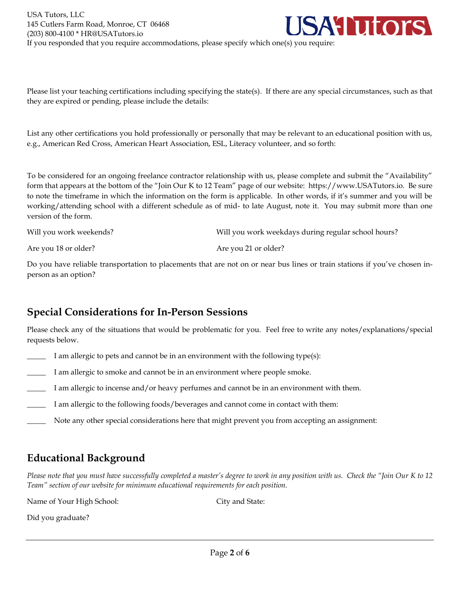USA Tutors, LLC **ATutors** 145 Cutlers Farm Road, Monroe, CT 06468 (203) 800-4100 \* HR@USATutors.io If you responded that you require accommodations, please specify which one(s) you require:

Please list your teaching certifications including specifying the state(s). If there are any special circumstances, such as that they are expired or pending, please include the details:

List any other certifications you hold professionally or personally that may be relevant to an educational position with us, e.g., American Red Cross, American Heart Association, ESL, Literacy volunteer, and so forth:

To be considered for an ongoing freelance contractor relationship with us, please complete and submit the "Availability" form that appears at the bottom of the "Join Our K to 12 Team" page of our website: https://www.USATutors.io. Be sure to note the timeframe in which the information on the form is applicable. In other words, if it's summer and you will be working/attending school with a different schedule as of mid- to late August, note it. You may submit more than one version of the form.

| Will you work weekends? | Will you work weekdays during regular school hours? |
|-------------------------|-----------------------------------------------------|
|                         |                                                     |

Are you 18 or older? Are you 21 or older?

Do you have reliable transportation to placements that are not on or near bus lines or train stations if you've chosen inperson as an option?

### **Special Considerations for In-Person Sessions**

Please check any of the situations that would be problematic for you. Feel free to write any notes/explanations/special requests below.

- I am allergic to pets and cannot be in an environment with the following type(s):
- \_\_\_\_\_ I am allergic to smoke and cannot be in an environment where people smoke.
- I am allergic to incense and/or heavy perfumes and cannot be in an environment with them.
- I am allergic to the following foods/beverages and cannot come in contact with them:
- Note any other special considerations here that might prevent you from accepting an assignment:

# **Educational Background**

*Please note that you must have successfully completed a master's degree to work in any position with us. Check the "Join Our K to 12 Team" section of our website for minimum educational requirements for each position.*

Name of Your High School: City and State:

Did you graduate?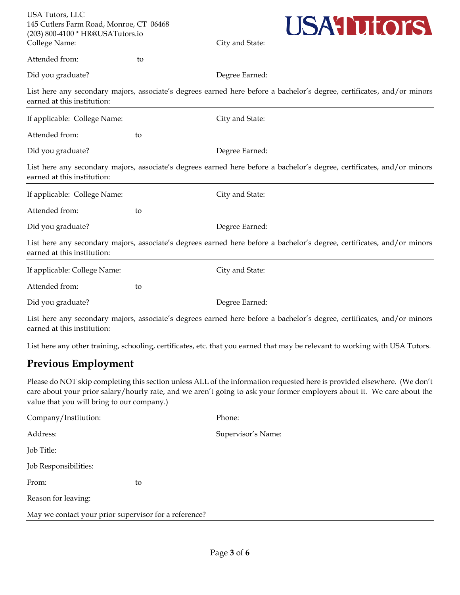| USA Tutors, LLC                         |  |
|-----------------------------------------|--|
| 145 Cutlers Farm Road, Monroe, CT 06468 |  |
| (203) 800-4100 * HR@USATutors.io        |  |
| College Name:                           |  |



City and State:

Attended from: to

Did you graduate? Degree Earned:

List here any secondary majors, associate's degrees earned here before a bachelor's degree, certificates, and/or minors earned at this institution:

| If applicable: College Name: |    | City and State:                                                                                                         |
|------------------------------|----|-------------------------------------------------------------------------------------------------------------------------|
| Attended from:               | to |                                                                                                                         |
| Did you graduate?            |    | Degree Earned:                                                                                                          |
| earned at this institution:  |    | List here any secondary majors, associate's degrees earned here before a bachelor's degree, certificates, and/or minors |
| If applicable: College Name: |    | City and State:                                                                                                         |
| Attended from:               | to |                                                                                                                         |
| Did you graduate?            |    | Degree Earned:                                                                                                          |
| earned at this institution:  |    | List here any secondary majors, associate's degrees earned here before a bachelor's degree, certificates, and/or minors |
| If applicable: College Name: |    | City and State:                                                                                                         |
| Attended from:               | to |                                                                                                                         |
| Did you graduate?            |    | Degree Earned:                                                                                                          |
|                              |    |                                                                                                                         |

List here any secondary majors, associate's degrees earned here before a bachelor's degree, certificates, and/or minors earned at this institution:

List here any other training, schooling, certificates, etc. that you earned that may be relevant to working with USA Tutors.

### **Previous Employment**

Please do NOT skip completing this section unless ALL of the information requested here is provided elsewhere. (We don't care about your prior salary/hourly rate, and we aren't going to ask your former employers about it. We care about the value that you will bring to our company.)

| Company/Institution:                                  |    | Phone:             |
|-------------------------------------------------------|----|--------------------|
| Address:                                              |    | Supervisor's Name: |
| Job Title:                                            |    |                    |
| Job Responsibilities:                                 |    |                    |
| From:                                                 | to |                    |
| Reason for leaving:                                   |    |                    |
| May we contact your prior supervisor for a reference? |    |                    |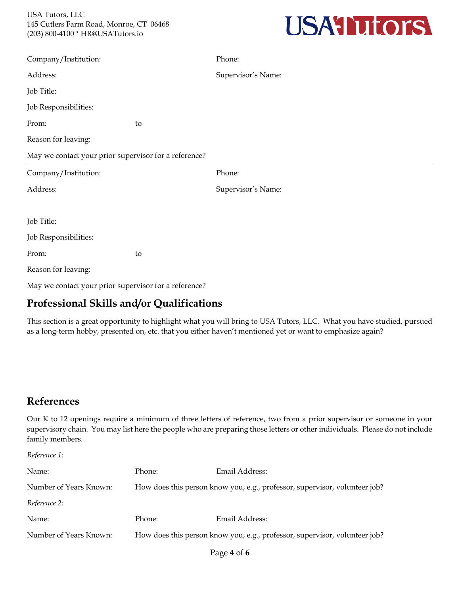

| Company/Institution:                                  |    | Phone:             |  |
|-------------------------------------------------------|----|--------------------|--|
| Address:                                              |    | Supervisor's Name: |  |
| Job Title:                                            |    |                    |  |
| Job Responsibilities:                                 |    |                    |  |
| From:                                                 | to |                    |  |
| Reason for leaving:                                   |    |                    |  |
| May we contact your prior supervisor for a reference? |    |                    |  |
| Company/Institution:                                  |    | Phone:             |  |
| Address:                                              |    | Supervisor's Name: |  |
|                                                       |    |                    |  |
| Job Title:                                            |    |                    |  |
| Job Responsibilities:                                 |    |                    |  |
| From:                                                 | to |                    |  |
| Reason for leaving:                                   |    |                    |  |
| May we contact your prior supervisor for a reference? |    |                    |  |

## **Professional Skills and/or Qualifications**

This section is a great opportunity to highlight what you will bring to USA Tutors, LLC. What you have studied, pursued as a long-term hobby, presented on, etc. that you either haven't mentioned yet or want to emphasize again?

### **References**

Our K to 12 openings require a minimum of three letters of reference, two from a prior supervisor or someone in your supervisory chain. You may list here the people who are preparing those letters or other individuals. Please do not include family members.

*Reference 1:*

| Name:                  | Phone:                                                                     | Email Address: |
|------------------------|----------------------------------------------------------------------------|----------------|
| Number of Years Known: | How does this person know you, e.g., professor, supervisor, volunteer job? |                |
| Reference 2:           |                                                                            |                |
| Name:                  | Phone:                                                                     | Email Address: |
| Number of Years Known: | How does this person know you, e.g., professor, supervisor, volunteer job? |                |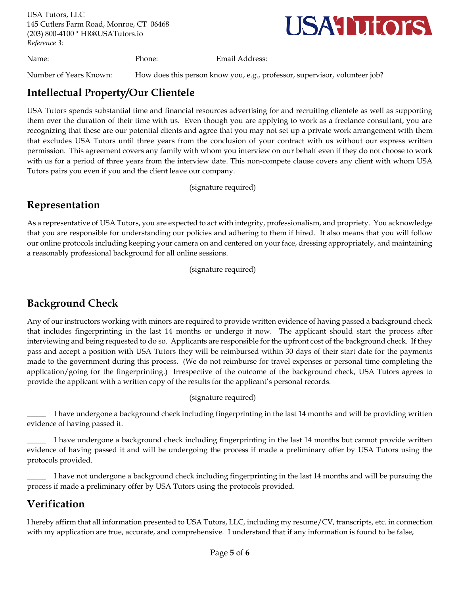USA Tutors, LLC 145 Cutlers Farm Road, Monroe, CT 06468 (203) 800-4100 \* HR@USATutors.io *Reference 3:*



Name: Phone: Email Address:

Number of Years Known: How does this person know you, e.g., professor, supervisor, volunteer job?

### **Intellectual Property/Our Clientele**

USA Tutors spends substantial time and financial resources advertising for and recruiting clientele as well as supporting them over the duration of their time with us. Even though you are applying to work as a freelance consultant, you are recognizing that these are our potential clients and agree that you may not set up a private work arrangement with them that excludes USA Tutors until three years from the conclusion of your contract with us without our express written permission. This agreement covers any family with whom you interview on our behalf even if they do not choose to work with us for a period of three years from the interview date. This non-compete clause covers any client with whom USA Tutors pairs you even if you and the client leave our company.

(signature required)

# **Representation**

As a representative of USA Tutors, you are expected to act with integrity, professionalism, and propriety. You acknowledge that you are responsible for understanding our policies and adhering to them if hired. It also means that you will follow our online protocols including keeping your camera on and centered on your face, dressing appropriately, and maintaining a reasonably professional background for all online sessions.

(signature required)

# **Background Check**

Any of our instructors working with minors are required to provide written evidence of having passed a background check that includes fingerprinting in the last 14 months or undergo it now. The applicant should start the process after interviewing and being requested to do so. Applicants are responsible for the upfront cost of the background check. If they pass and accept a position with USA Tutors they will be reimbursed within 30 days of their start date for the payments made to the government during this process. (We do not reimburse for travel expenses or personal time completing the application/going for the fingerprinting.) Irrespective of the outcome of the background check, USA Tutors agrees to provide the applicant with a written copy of the results for the applicant's personal records.

(signature required)

I have undergone a background check including fingerprinting in the last 14 months and will be providing written evidence of having passed it.

I have undergone a background check including fingerprinting in the last 14 months but cannot provide written evidence of having passed it and will be undergoing the process if made a preliminary offer by USA Tutors using the protocols provided.

I have not undergone a background check including fingerprinting in the last 14 months and will be pursuing the process if made a preliminary offer by USA Tutors using the protocols provided.

# **Verification**

I hereby affirm that all information presented to USA Tutors, LLC, including my resume/CV, transcripts, etc. in connection with my application are true, accurate, and comprehensive. I understand that if any information is found to be false,